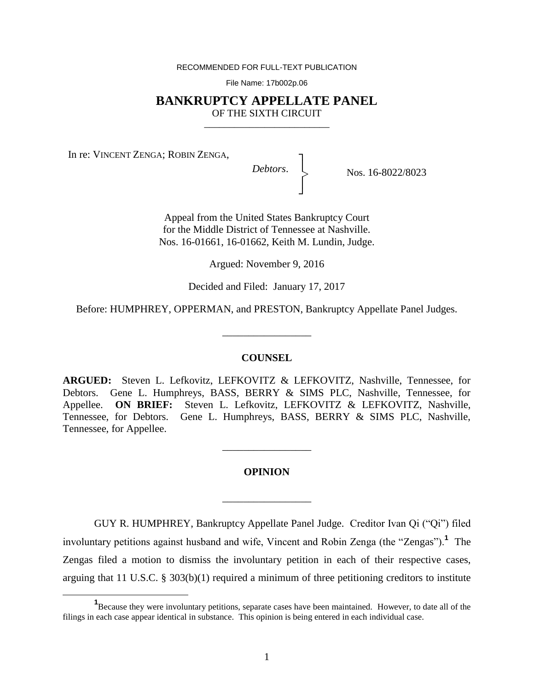RECOMMENDED FOR FULL-TEXT PUBLICATION

File Name: 17b002p.06

## **BANKRUPTCY APPELLATE PANEL** OF THE SIXTH CIRCUIT

\_\_\_\_\_\_\_\_\_\_\_\_\_\_\_\_\_\_\_\_\_\_\_\_\_

In re: VINCENT ZENGA; ROBIN ZENGA,

 $\overline{a}$ 

*Debtors*. │ ┐ │ ┘ |<br>|<br>|

Nos. 16-8022/8023

Appeal from the United States Bankruptcy Court for the Middle District of Tennessee at Nashville. Nos. 16-01661, 16-01662, Keith M. Lundin, Judge.

Argued: November 9, 2016

Decided and Filed: January 17, 2017

Before: HUMPHREY, OPPERMAN, and PRESTON, Bankruptcy Appellate Panel Judges.

\_\_\_\_\_\_\_\_\_\_\_\_\_\_\_\_\_

### **COUNSEL**

**ARGUED:** Steven L. Lefkovitz, LEFKOVITZ & LEFKOVITZ, Nashville, Tennessee, for Debtors. Gene L. Humphreys, BASS, BERRY & SIMS PLC, Nashville, Tennessee, for Appellee. **ON BRIEF:** Steven L. Lefkovitz, LEFKOVITZ & LEFKOVITZ, Nashville, Tennessee, for Debtors. Gene L. Humphreys, BASS, BERRY & SIMS PLC, Nashville, Tennessee, for Appellee.

### **OPINION**

\_\_\_\_\_\_\_\_\_\_\_\_\_\_\_\_\_

\_\_\_\_\_\_\_\_\_\_\_\_\_\_\_\_\_

GUY R. HUMPHREY, Bankruptcy Appellate Panel Judge. Creditor Ivan Qi ("Qi") filed involuntary petitions against husband and wife, Vincent and Robin Zenga (the "Zengas").**<sup>1</sup>** The Zengas filed a motion to dismiss the involuntary petition in each of their respective cases, arguing that 11 U.S.C. § 303(b)(1) required a minimum of three petitioning creditors to institute

<sup>&</sup>lt;sup>1</sup>Because they were involuntary petitions, separate cases have been maintained. However, to date all of the filings in each case appear identical in substance. This opinion is being entered in each individual case.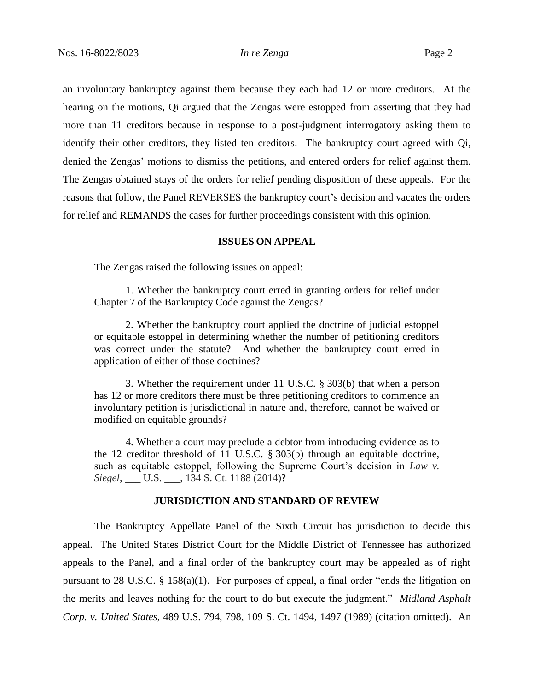an involuntary bankruptcy against them because they each had 12 or more creditors. At the hearing on the motions, Qi argued that the Zengas were estopped from asserting that they had more than 11 creditors because in response to a post-judgment interrogatory asking them to identify their other creditors, they listed ten creditors. The bankruptcy court agreed with Qi, denied the Zengas' motions to dismiss the petitions, and entered orders for relief against them. The Zengas obtained stays of the orders for relief pending disposition of these appeals. For the reasons that follow, the Panel REVERSES the bankruptcy court's decision and vacates the orders for relief and REMANDS the cases for further proceedings consistent with this opinion.

### **ISSUES ON APPEAL**

The Zengas raised the following issues on appeal:

1. Whether the bankruptcy court erred in granting orders for relief under Chapter 7 of the Bankruptcy Code against the Zengas?

2. Whether the bankruptcy court applied the doctrine of judicial estoppel or equitable estoppel in determining whether the number of petitioning creditors was correct under the statute? And whether the bankruptcy court erred in application of either of those doctrines?

3. Whether the requirement under 11 U.S.C. § 303(b) that when a person has 12 or more creditors there must be three petitioning creditors to commence an involuntary petition is jurisdictional in nature and, therefore, cannot be waived or modified on equitable grounds?

4. Whether a court may preclude a debtor from introducing evidence as to the 12 creditor threshold of 11 U.S.C. § 303(b) through an equitable doctrine, such as equitable estoppel, following the Supreme Court's decision in *Law v. Siegel*, \_\_\_ U.S. \_\_\_, 134 S. Ct. 1188 (2014)?

## **JURISDICTION AND STANDARD OF REVIEW**

The Bankruptcy Appellate Panel of the Sixth Circuit has jurisdiction to decide this appeal. The United States District Court for the Middle District of Tennessee has authorized appeals to the Panel, and a final order of the bankruptcy court may be appealed as of right pursuant to 28 U.S.C. § 158(a)(1). For purposes of appeal, a final order "ends the litigation on the merits and leaves nothing for the court to do but execute the judgment." *Midland Asphalt Corp. v. United States*, 489 U.S. 794, 798, 109 S. Ct. 1494, 1497 (1989) (citation omitted). An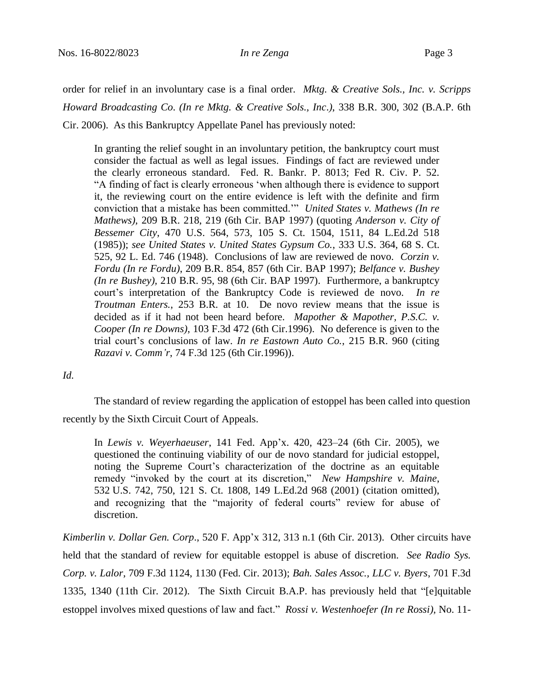order for relief in an involuntary case is a final order. *Mktg. & Creative Sols., Inc. v. Scripps Howard Broadcasting Co*. *(In re Mktg. & Creative Sols., Inc*.*)*, 338 B.R. 300, 302 (B.A.P. 6th Cir. 2006). As this Bankruptcy Appellate Panel has previously noted:

In granting the relief sought in an involuntary petition, the bankruptcy court must consider the factual as well as legal issues. Findings of fact are reviewed under the clearly erroneous standard. Fed. R. Bankr. P. 8013; Fed R. Civ. P. 52. "A finding of fact is clearly erroneous 'when although there is evidence to support it, the reviewing court on the entire evidence is left with the definite and firm conviction that a mistake has been committed.'" *United States v. Mathews (In re Mathews),* 209 B.R. 218, 219 (6th Cir. BAP 1997) (quoting *Anderson v. City of Bessemer City*, 470 U.S. 564, 573, 105 S. Ct. 1504, 1511, 84 L.Ed.2d 518 (1985)); *see United States v. United States Gypsum Co.*, 333 U.S. 364, 68 S. Ct. 525, 92 L. Ed. 746 (1948). Conclusions of law are reviewed de novo. *Corzin v. Fordu (In re Fordu)*, 209 B.R. 854, 857 (6th Cir. BAP 1997); *Belfance v. Bushey (In re Bushey),* 210 B.R. 95, 98 (6th Cir. BAP 1997). Furthermore, a bankruptcy court's interpretation of the Bankruptcy Code is reviewed de novo. *In re Troutman Enters.*, 253 B.R. at 10. De novo review means that the issue is decided as if it had not been heard before. *Mapother & Mapother, P.S.C. v. Cooper (In re Downs)*, 103 F.3d 472 (6th Cir.1996). No deference is given to the trial court's conclusions of law. *In re Eastown Auto Co.*, 215 B.R. 960 (citing *Razavi v. Comm'r*, 74 F.3d 125 (6th Cir.1996)).

*Id.* 

The standard of review regarding the application of estoppel has been called into question

recently by the Sixth Circuit Court of Appeals.

In *Lewis v. Weyerhaeuser*, 141 Fed. App'x. 420, 423–24 (6th Cir. 2005), we questioned the continuing viability of our de novo standard for judicial estoppel, noting the Supreme Court's characterization of the doctrine as an equitable remedy "invoked by the court at its discretion," *New Hampshire v. Maine*, 532 U.S. 742, 750, 121 S. Ct. 1808, 149 L.Ed.2d 968 (2001) (citation omitted), and recognizing that the "majority of federal courts" review for abuse of discretion.

*Kimberlin v. Dollar Gen. Corp*., 520 F. App'x 312, 313 n.1 (6th Cir. 2013). Other circuits have held that the standard of review for equitable estoppel is abuse of discretion. *See Radio Sys. Corp. v. Lalor*, 709 F.3d 1124, 1130 (Fed. Cir. 2013); *Bah. Sales Assoc., LLC v. Byers*, 701 F.3d 1335, 1340 (11th Cir. 2012). The Sixth Circuit B.A.P. has previously held that "[e]quitable estoppel involves mixed questions of law and fact." *Rossi v. Westenhoefer (In re Rossi)*, No. 11-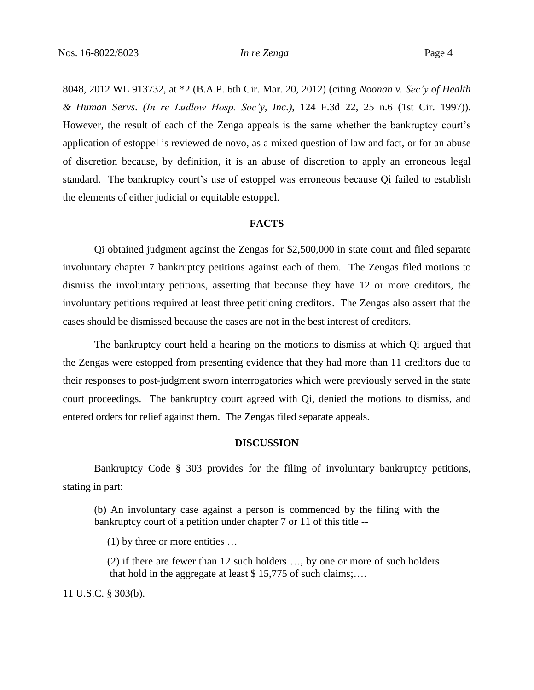8048, 2012 WL 913732, at \*2 (B.A.P. 6th Cir. Mar. 20, 2012) (citing *Noonan v. Sec'y of Health & Human Servs*. *(In re Ludlow Hosp. Soc'y, Inc*.*)*, 124 F.3d 22, 25 n.6 (1st Cir. 1997)). However, the result of each of the Zenga appeals is the same whether the bankruptcy court's application of estoppel is reviewed de novo, as a mixed question of law and fact, or for an abuse of discretion because, by definition, it is an abuse of discretion to apply an erroneous legal standard. The bankruptcy court's use of estoppel was erroneous because Qi failed to establish the elements of either judicial or equitable estoppel.

### **FACTS**

Qi obtained judgment against the Zengas for \$2,500,000 in state court and filed separate involuntary chapter 7 bankruptcy petitions against each of them. The Zengas filed motions to dismiss the involuntary petitions, asserting that because they have 12 or more creditors, the involuntary petitions required at least three petitioning creditors. The Zengas also assert that the cases should be dismissed because the cases are not in the best interest of creditors.

The bankruptcy court held a hearing on the motions to dismiss at which Qi argued that the Zengas were estopped from presenting evidence that they had more than 11 creditors due to their responses to post-judgment sworn interrogatories which were previously served in the state court proceedings. The bankruptcy court agreed with Qi, denied the motions to dismiss, and entered orders for relief against them. The Zengas filed separate appeals.

# **DISCUSSION**

Bankruptcy Code § 303 provides for the filing of involuntary bankruptcy petitions, stating in part:

(b) An involuntary case against a person is commenced by the filing with the bankruptcy court of a petition under chapter 7 or 11 of this title --

(1) by three or more entities …

(2) if there are fewer than 12 such holders …, by one or more of such holders that hold in the aggregate at least \$ 15,775 of such claims;….

11 U.S.C. § 303(b).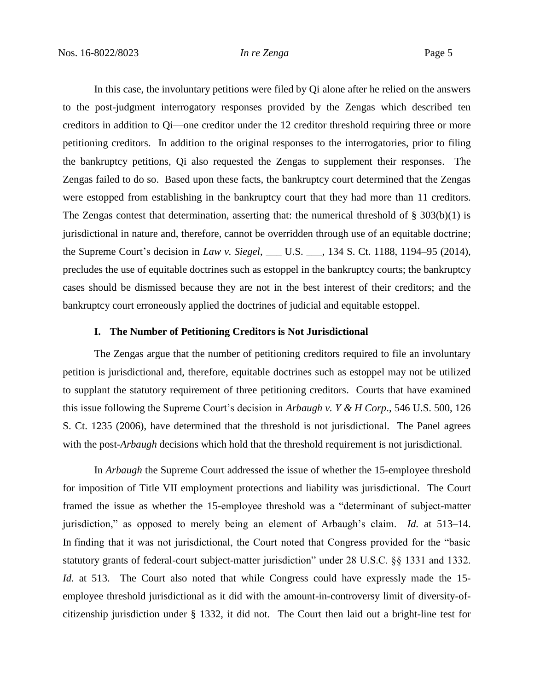In this case, the involuntary petitions were filed by Qi alone after he relied on the answers to the post-judgment interrogatory responses provided by the Zengas which described ten creditors in addition to Qi—one creditor under the 12 creditor threshold requiring three or more petitioning creditors. In addition to the original responses to the interrogatories, prior to filing the bankruptcy petitions, Qi also requested the Zengas to supplement their responses. The Zengas failed to do so. Based upon these facts, the bankruptcy court determined that the Zengas were estopped from establishing in the bankruptcy court that they had more than 11 creditors. The Zengas contest that determination, asserting that: the numerical threshold of  $\S 303(b)(1)$  is jurisdictional in nature and, therefore, cannot be overridden through use of an equitable doctrine; the Supreme Court's decision in *Law v. Siegel*, \_\_\_ U.S. \_\_\_, 134 S. Ct. 1188, 1194–95 (2014), precludes the use of equitable doctrines such as estoppel in the bankruptcy courts; the bankruptcy cases should be dismissed because they are not in the best interest of their creditors; and the bankruptcy court erroneously applied the doctrines of judicial and equitable estoppel.

### **I. The Number of Petitioning Creditors is Not Jurisdictional**

The Zengas argue that the number of petitioning creditors required to file an involuntary petition is jurisdictional and, therefore, equitable doctrines such as estoppel may not be utilized to supplant the statutory requirement of three petitioning creditors. Courts that have examined this issue following the Supreme Court's decision in *Arbaugh v. Y & H Corp*., 546 U.S. 500, 126 S. Ct. 1235 (2006), have determined that the threshold is not jurisdictional. The Panel agrees with the post-*Arbaugh* decisions which hold that the threshold requirement is not jurisdictional.

In *Arbaugh* the Supreme Court addressed the issue of whether the 15-employee threshold for imposition of Title VII employment protections and liability was jurisdictional. The Court framed the issue as whether the 15-employee threshold was a "determinant of subject-matter jurisdiction," as opposed to merely being an element of Arbaugh's claim. *Id.* at 513–14. In finding that it was not jurisdictional, the Court noted that Congress provided for the "basic statutory grants of federal-court subject-matter jurisdiction" under 28 U.S.C. §§ 1331 and 1332. *Id.* at 513. The Court also noted that while Congress could have expressly made the 15employee threshold jurisdictional as it did with the amount-in-controversy limit of diversity-ofcitizenship jurisdiction under § 1332, it did not. The Court then laid out a bright-line test for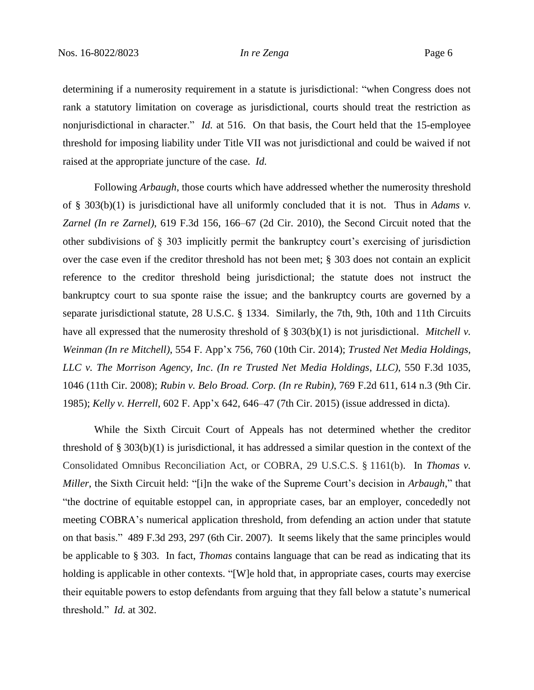determining if a numerosity requirement in a statute is jurisdictional: "when Congress does not rank a statutory limitation on coverage as jurisdictional, courts should treat the restriction as nonjurisdictional in character." *Id.* at 516. On that basis, the Court held that the 15-employee threshold for imposing liability under Title VII was not jurisdictional and could be waived if not raised at the appropriate juncture of the case. *Id.*

Following *Arbaugh*, those courts which have addressed whether the numerosity threshold of § 303(b)(1) is jurisdictional have all uniformly concluded that it is not. Thus in *Adams v. Zarnel (In re Zarnel)*, 619 F.3d 156, 166–67 (2d Cir. 2010), the Second Circuit noted that the other subdivisions of § 303 implicitly permit the bankruptcy court's exercising of jurisdiction over the case even if the creditor threshold has not been met; § 303 does not contain an explicit reference to the creditor threshold being jurisdictional; the statute does not instruct the bankruptcy court to sua sponte raise the issue; and the bankruptcy courts are governed by a separate jurisdictional statute, 28 U.S.C. § 1334. Similarly, the 7th, 9th, 10th and 11th Circuits have all expressed that the numerosity threshold of § 303(b)(1) is not jurisdictional. *Mitchell v. Weinman (In re Mitchell)*, 554 F. App'x 756, 760 (10th Cir. 2014); *Trusted Net Media Holdings, LLC v. The Morrison Agency, Inc*. *(In re Trusted Net Media Holdings*, *LLC)*, 550 F.3d 1035, 1046 (11th Cir. 2008); *Rubin v. Belo Broad. Corp. (In re Rubin)*, 769 F.2d 611, 614 n.3 (9th Cir. 1985); *Kelly v. Herrell*, 602 F. App'x 642, 646–47 (7th Cir. 2015) (issue addressed in dicta).

While the Sixth Circuit Court of Appeals has not determined whether the creditor threshold of § 303(b)(1) is jurisdictional, it has addressed a similar question in the context of the Consolidated Omnibus Reconciliation Act, or COBRA, 29 U.S.C.S. § 1161(b). In *Thomas v. Miller*, the Sixth Circuit held: "[i]n the wake of the Supreme Court's decision in *Arbaugh*," that "the doctrine of equitable estoppel can, in appropriate cases, bar an employer, concededly not meeting COBRA's numerical application threshold, from defending an action under that statute on that basis." 489 F.3d 293, 297 (6th Cir. 2007). It seems likely that the same principles would be applicable to § 303. In fact, *Thomas* contains language that can be read as indicating that its holding is applicable in other contexts. "[W]e hold that, in appropriate cases, courts may exercise their equitable powers to estop defendants from arguing that they fall below a statute's numerical threshold." *Id.* at 302.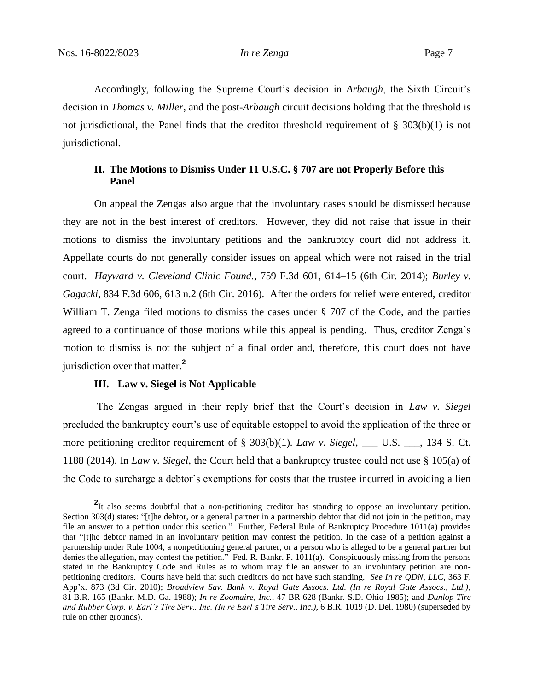$\overline{a}$ 

Accordingly, following the Supreme Court's decision in *Arbaugh*, the Sixth Circuit's decision in *Thomas v. Miller*, and the post-*Arbaugh* circuit decisions holding that the threshold is not jurisdictional, the Panel finds that the creditor threshold requirement of  $\S 303(b)(1)$  is not jurisdictional.

# **II. The Motions to Dismiss Under 11 U.S.C. § 707 are not Properly Before this Panel**

On appeal the Zengas also argue that the involuntary cases should be dismissed because they are not in the best interest of creditors. However, they did not raise that issue in their motions to dismiss the involuntary petitions and the bankruptcy court did not address it. Appellate courts do not generally consider issues on appeal which were not raised in the trial court. *Hayward v. Cleveland Clinic Found.*, 759 F.3d 601, 614–15 (6th Cir. 2014); *Burley v. Gagacki*, 834 F.3d 606, 613 n.2 (6th Cir. 2016). After the orders for relief were entered, creditor William T. Zenga filed motions to dismiss the cases under § 707 of the Code, and the parties agreed to a continuance of those motions while this appeal is pending. Thus, creditor Zenga's motion to dismiss is not the subject of a final order and, therefore, this court does not have jurisdiction over that matter.**<sup>2</sup>**

### **III. Law v. Siegel is Not Applicable**

The Zengas argued in their reply brief that the Court's decision in *Law v. Siegel* precluded the bankruptcy court's use of equitable estoppel to avoid the application of the three or more petitioning creditor requirement of § 303(b)(1). *Law v. Siegel*, \_\_\_ U.S. \_\_\_, 134 S. Ct. 1188 (2014). In *Law v. Siegel*, the Court held that a bankruptcy trustee could not use § 105(a) of the Code to surcharge a debtor's exemptions for costs that the trustee incurred in avoiding a lien

<sup>&</sup>lt;sup>2</sup>It also seems doubtful that a non-petitioning creditor has standing to oppose an involuntary petition. Section 303(d) states: "[t]he debtor, or a general partner in a partnership debtor that did not join in the petition, may file an answer to a petition under this section." Further, Federal Rule of Bankruptcy Procedure 1011(a) provides that "[t]he debtor named in an involuntary petition may contest the petition. In the case of a petition against a partnership under Rule 1004, a nonpetitioning general partner, or a person who is alleged to be a general partner but denies the allegation, may contest the petition." Fed. R. Bankr. P. 1011(a). Conspicuously missing from the persons stated in the Bankruptcy Code and Rules as to whom may file an answer to an involuntary petition are nonpetitioning creditors. Courts have held that such creditors do not have such standing. *See In re QDN, LLC*, 363 F. App'x. 873 (3d Cir. 2010); *Broadview Sav. Bank v. Royal Gate Assocs. Ltd. (In re Royal Gate Assocs., Ltd.)*, 81 B.R. 165 (Bankr. M.D. Ga. 1988); *In re Zoomaire, Inc.*, 47 BR 628 (Bankr. S.D. Ohio 1985); and *Dunlop Tire and Rubber Corp. v. Earl's Tire Serv., Inc. (In re Earl's Tire Serv., Inc.)*, 6 B.R. 1019 (D. Del. 1980) (superseded by rule on other grounds).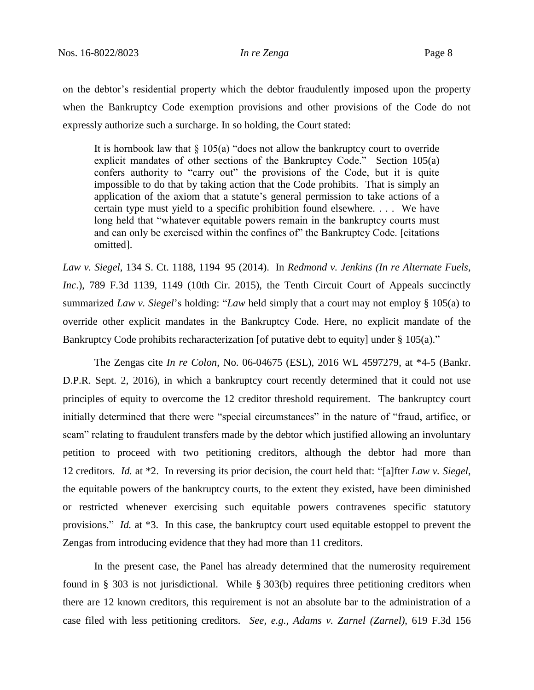on the debtor's residential property which the debtor fraudulently imposed upon the property when the Bankruptcy Code exemption provisions and other provisions of the Code do not expressly authorize such a surcharge. In so holding, the Court stated:

It is hornbook law that  $\S$  105(a) "does not allow the bankruptcy court to override explicit mandates of other sections of the Bankruptcy Code." Section 105(a) confers authority to "carry out" the provisions of the Code, but it is quite impossible to do that by taking action that the Code prohibits. That is simply an application of the axiom that a statute's general permission to take actions of a certain type must yield to a specific prohibition found elsewhere. . . . We have long held that "whatever equitable powers remain in the bankruptcy courts must and can only be exercised within the confines of" the Bankruptcy Code. [citations omitted].

*Law v. Siegel*, 134 S. Ct. 1188, 1194–95 (2014). In *Redmond v. Jenkins (In re Alternate Fuels, Inc.*), 789 F.3d 1139, 1149 (10th Cir. 2015), the Tenth Circuit Court of Appeals succinctly summarized *Law v. Siegel*'s holding: "*Law* held simply that a court may not employ § 105(a) to override other explicit mandates in the Bankruptcy Code. Here, no explicit mandate of the Bankruptcy Code prohibits recharacterization [of putative debt to equity] under § 105(a)."

The Zengas cite *In re Colon*, No. 06-04675 (ESL), 2016 WL 4597279, at \*4-5 (Bankr. D.P.R. Sept. 2, 2016), in which a bankruptcy court recently determined that it could not use principles of equity to overcome the 12 creditor threshold requirement. The bankruptcy court initially determined that there were "special circumstances" in the nature of "fraud, artifice, or scam" relating to fraudulent transfers made by the debtor which justified allowing an involuntary petition to proceed with two petitioning creditors, although the debtor had more than 12 creditors. *Id.* at \*2. In reversing its prior decision, the court held that: "[a]fter *Law v. Siegel*, the equitable powers of the bankruptcy courts, to the extent they existed, have been diminished or restricted whenever exercising such equitable powers contravenes specific statutory provisions." *Id.* at \*3. In this case, the bankruptcy court used equitable estoppel to prevent the Zengas from introducing evidence that they had more than 11 creditors.

In the present case, the Panel has already determined that the numerosity requirement found in § 303 is not jurisdictional. While § 303(b) requires three petitioning creditors when there are 12 known creditors, this requirement is not an absolute bar to the administration of a case filed with less petitioning creditors. *See, e.g., Adams v. Zarnel (Zarnel)*, 619 F.3d 156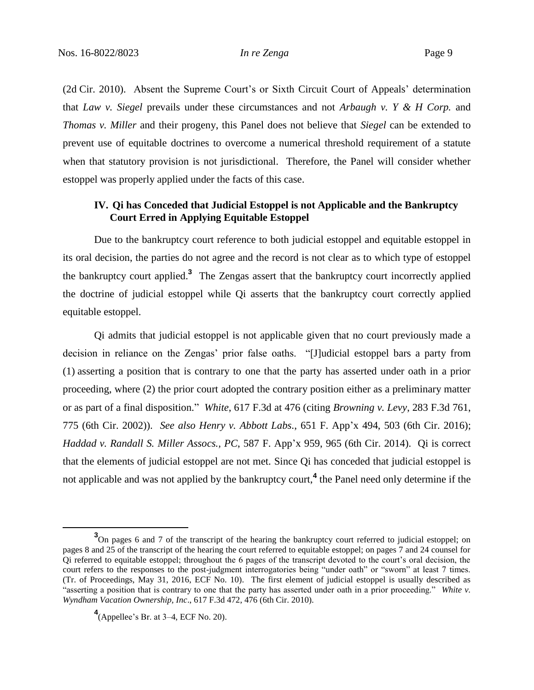(2d Cir. 2010). Absent the Supreme Court's or Sixth Circuit Court of Appeals' determination that *Law v. Siegel* prevails under these circumstances and not *Arbaugh v. Y & H Corp.* and *Thomas v. Miller* and their progeny, this Panel does not believe that *Siegel* can be extended to prevent use of equitable doctrines to overcome a numerical threshold requirement of a statute when that statutory provision is not jurisdictional. Therefore, the Panel will consider whether estoppel was properly applied under the facts of this case.

# **IV. Qi has Conceded that Judicial Estoppel is not Applicable and the Bankruptcy Court Erred in Applying Equitable Estoppel**

Due to the bankruptcy court reference to both judicial estoppel and equitable estoppel in its oral decision, the parties do not agree and the record is not clear as to which type of estoppel the bankruptcy court applied. **3** The Zengas assert that the bankruptcy court incorrectly applied the doctrine of judicial estoppel while Qi asserts that the bankruptcy court correctly applied equitable estoppel.

Qi admits that judicial estoppel is not applicable given that no court previously made a decision in reliance on the Zengas' prior false oaths. "[J]udicial estoppel bars a party from (1) asserting a position that is contrary to one that the party has asserted under oath in a prior proceeding, where (2) the prior court adopted the contrary position either as a preliminary matter or as part of a final disposition." *White*, 617 F.3d at 476 (citing *Browning v. Levy*, 283 F.3d 761, 775 (6th Cir. 2002)). *See also Henry v. Abbott Labs.*, 651 F. App'x 494, 503 (6th Cir. 2016); *Haddad v. Randall S. Miller Assocs., PC*, 587 F. App'x 959, 965 (6th Cir. 2014). Qi is correct that the elements of judicial estoppel are not met. Since Qi has conceded that judicial estoppel is not applicable and was not applied by the bankruptcy court,**<sup>4</sup>** the Panel need only determine if the

 $\overline{a}$ 

<sup>&</sup>lt;sup>3</sup>On pages 6 and 7 of the transcript of the hearing the bankruptcy court referred to judicial estoppel; on pages 8 and 25 of the transcript of the hearing the court referred to equitable estoppel; on pages 7 and 24 counsel for Qi referred to equitable estoppel; throughout the 6 pages of the transcript devoted to the court's oral decision, the court refers to the responses to the post-judgment interrogatories being "under oath" or "sworn" at least 7 times. (Tr. of Proceedings, May 31, 2016, ECF No. 10). The first element of judicial estoppel is usually described as "asserting a position that is contrary to one that the party has asserted under oath in a prior proceeding." *White v. Wyndham Vacation Ownership, Inc*., 617 F.3d 472, 476 (6th Cir. 2010).

**<sup>4</sup>** (Appellee's Br. at 3–4, ECF No. 20).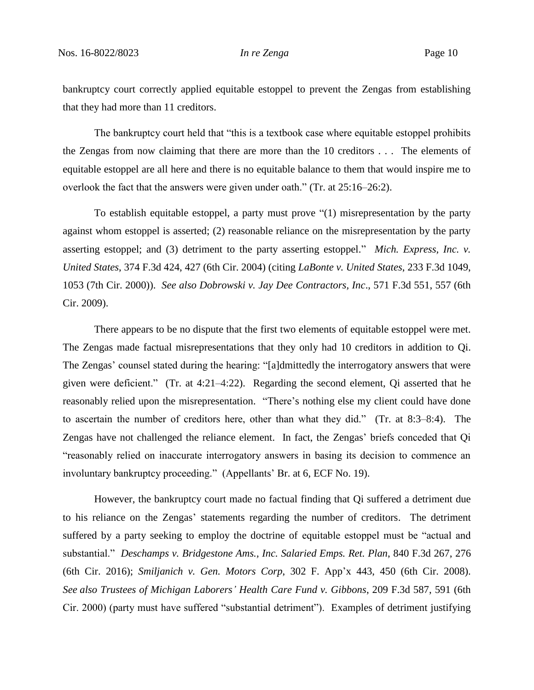bankruptcy court correctly applied equitable estoppel to prevent the Zengas from establishing that they had more than 11 creditors.

The bankruptcy court held that "this is a textbook case where equitable estoppel prohibits the Zengas from now claiming that there are more than the 10 creditors . . . The elements of equitable estoppel are all here and there is no equitable balance to them that would inspire me to overlook the fact that the answers were given under oath." (Tr. at 25:16–26:2).

To establish equitable estoppel, a party must prove "(1) misrepresentation by the party against whom estoppel is asserted; (2) reasonable reliance on the misrepresentation by the party asserting estoppel; and (3) detriment to the party asserting estoppel." *Mich. Express, Inc. v. United States*, 374 F.3d 424, 427 (6th Cir. 2004) (citing *LaBonte v. United States*, 233 F.3d 1049, 1053 (7th Cir. 2000)). *See also Dobrowski v. Jay Dee Contractors, Inc*., 571 F.3d 551, 557 (6th Cir. 2009).

There appears to be no dispute that the first two elements of equitable estoppel were met. The Zengas made factual misrepresentations that they only had 10 creditors in addition to Qi. The Zengas' counsel stated during the hearing: "[a]dmittedly the interrogatory answers that were given were deficient." (Tr. at 4:21–4:22). Regarding the second element, Qi asserted that he reasonably relied upon the misrepresentation. "There's nothing else my client could have done to ascertain the number of creditors here, other than what they did." (Tr. at 8:3–8:4). The Zengas have not challenged the reliance element. In fact, the Zengas' briefs conceded that Qi "reasonably relied on inaccurate interrogatory answers in basing its decision to commence an involuntary bankruptcy proceeding." (Appellants' Br. at 6, ECF No. 19).

However, the bankruptcy court made no factual finding that Qi suffered a detriment due to his reliance on the Zengas' statements regarding the number of creditors. The detriment suffered by a party seeking to employ the doctrine of equitable estoppel must be "actual and substantial." *Deschamps v. Bridgestone Ams., Inc. Salaried Emps. Ret. Plan*, 840 F.3d 267, 276 (6th Cir. 2016); *Smiljanich v. Gen. Motors Corp*, 302 F. App'x 443, 450 (6th Cir. 2008). *See also Trustees of Michigan Laborers' Health Care Fund v. Gibbons*, 209 F.3d 587, 591 (6th Cir. 2000) (party must have suffered "substantial detriment"). Examples of detriment justifying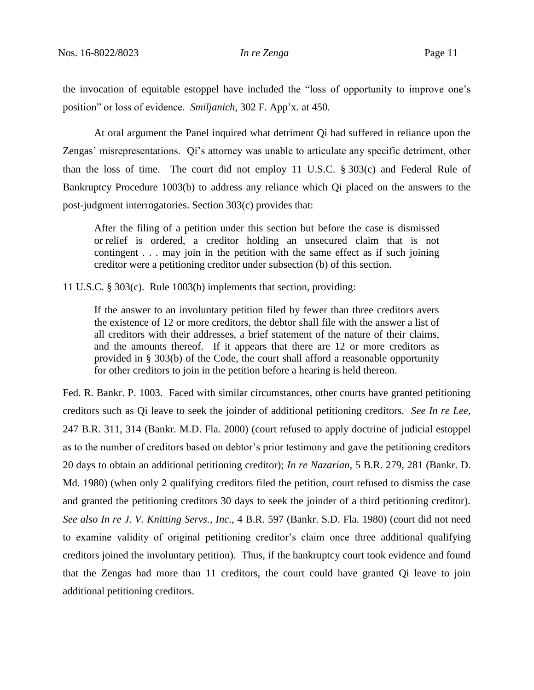the invocation of equitable estoppel have included the "loss of opportunity to improve one's position" or loss of evidence. *Smiljanich*, 302 F. App'x*.* at 450.

At oral argument the Panel inquired what detriment Qi had suffered in reliance upon the Zengas' misrepresentations. Qi's attorney was unable to articulate any specific detriment, other than the loss of time. The court did not employ 11 U.S.C. § 303(c) and Federal Rule of Bankruptcy Procedure 1003(b) to address any reliance which Qi placed on the answers to the post-judgment interrogatories. Section 303(c) provides that:

After the filing of a petition under this section but before the case is dismissed or relief is ordered, a creditor holding an unsecured claim that is not contingent . . . may join in the petition with the same effect as if such joining creditor were a petitioning creditor under subsection (b) of this section.

11 U.S.C. § 303(c). Rule 1003(b) implements that section, providing:

If the answer to an involuntary petition filed by fewer than three creditors avers the existence of 12 or more creditors, the debtor shall file with the answer a list of all creditors with their addresses, a brief statement of the nature of their claims, and the amounts thereof. If it appears that there are 12 or more creditors as provided in § 303(b) of the Code, the court shall afford a reasonable opportunity for other creditors to join in the petition before a hearing is held thereon.

Fed. R. Bankr. P. 1003. Faced with similar circumstances, other courts have granted petitioning creditors such as Qi leave to seek the joinder of additional petitioning creditors*. See In re Lee*, 247 B.R. 311, 314 (Bankr. M.D. Fla. 2000) (court refused to apply doctrine of judicial estoppel as to the number of creditors based on debtor's prior testimony and gave the petitioning creditors 20 days to obtain an additional petitioning creditor); *In re Nazarian*, 5 B.R. 279, 281 (Bankr. D. Md. 1980) (when only 2 qualifying creditors filed the petition, court refused to dismiss the case and granted the petitioning creditors 30 days to seek the joinder of a third petitioning creditor). *See also In re J. V. Knitting Servs., Inc*., 4 B.R. 597 (Bankr. S.D. Fla. 1980) (court did not need to examine validity of original petitioning creditor's claim once three additional qualifying creditors joined the involuntary petition). Thus, if the bankruptcy court took evidence and found that the Zengas had more than 11 creditors, the court could have granted Qi leave to join additional petitioning creditors.